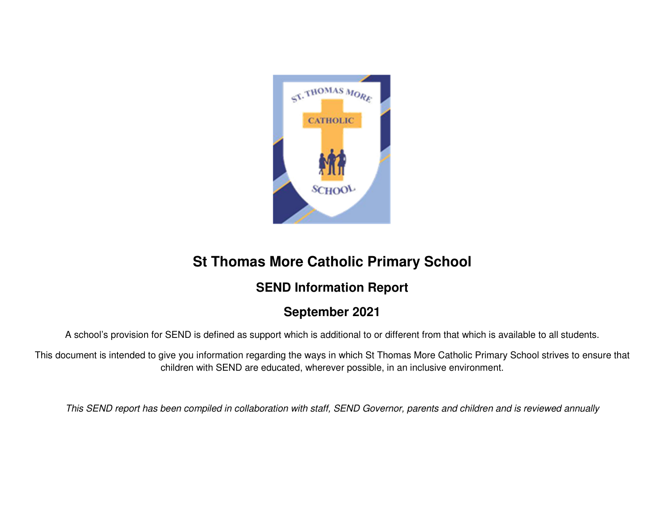

# **St Thomas More Catholic Primary School**

# **SEND Information Report**

# **September 2021**

A school's provision for SEND is defined as support which is additional to or different from that which is available to all students.

This document is intended to give you information regarding the ways in which St Thomas More Catholic Primary School strives to ensure that children with SEND are educated, wherever possible, in an inclusive environment.

This SEND report has been compiled in collaboration with staff, SEND Governor, parents and children and is reviewed annually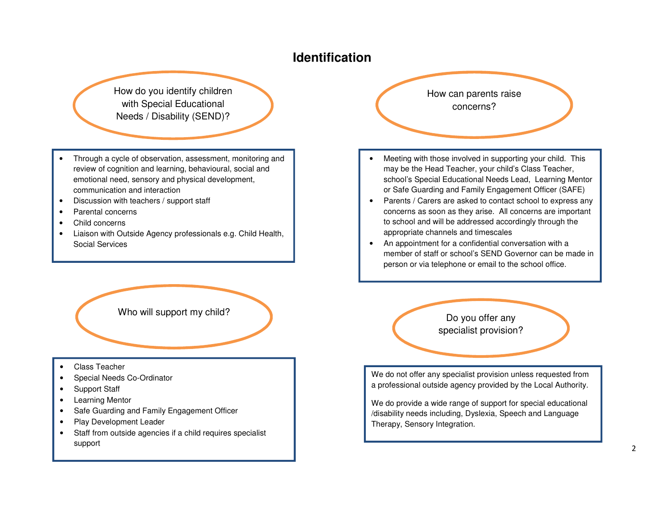### **Identification**

How do you identify children with Special Educational Needs / Disability (SEND)?

- Through a cycle of observation, assessment, monitoring and review of cognition and learning, behavioural, social and emotional need, sensory and physical development, communication and interaction
- Discussion with teachers / support staff
- Parental concerns
- Child concerns
- Liaison with Outside Agency professionals e.g. Child Health, Social Services



- Class Teacher
- Special Needs Co-Ordinator
- Support Staff
- Learning Mentor
- Safe Guarding and Family Engagement Officer
- Play Development Leader
- Staff from outside agencies if a child requires specialist support

How can parents raise concerns?

- Meeting with those involved in supporting your child. This may be the Head Teacher, your child's Class Teacher, school's Special Educational Needs Lead, Learning Mentor or Safe Guarding and Family Engagement Officer (SAFE)
- Parents / Carers are asked to contact school to express any concerns as soon as they arise. All concerns are important to school and will be addressed accordingly through the appropriate channels and timescales
- An appointment for a confidential conversation with a member of staff or school's SEND Governor can be made in person or via telephone or email to the school office.

specialist provision?

We do not offer any specialist provision unless requested from a professional outside agency provided by the Local Authority.

We do provide a wide range of support for special educational /disability needs including, Dyslexia, Speech and Language Therapy, Sensory Integration.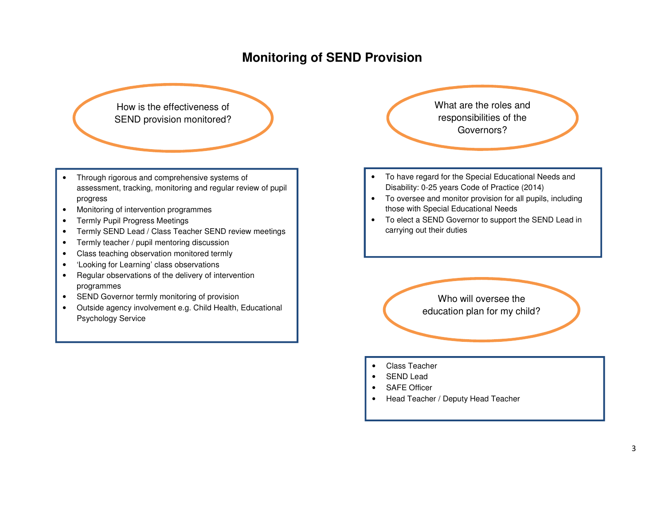# **Monitoring of SEND Provision**

How is the effectiveness of SEND provision monitored?

- Through rigorous and comprehensive systems of assessment, tracking, monitoring and regular review of pupil progress
- Monitoring of intervention programmes
- Termly Pupil Progress Meetings
- Termly SEND Lead / Class Teacher SEND review meetings
- Termly teacher / pupil mentoring discussion
- Class teaching observation monitored termly
- •'Looking for Learning' class observations
- Regular observations of the delivery of intervention programmes
- SEND Governor termly monitoring of provision
- Outside agency involvement e.g. Child Health, Educational Psychology Service

What are the roles and responsibilities of the Governors?

- To have regard for the Special Educational Needs and Disability: 0-25 years Code of Practice (2014)
- To oversee and monitor provision for all pupils, including those with Special Educational Needs
- To elect a SEND Governor to support the SEND Lead in carrying out their duties

Who will oversee the education plan for my child?

- Class Teacher
- SEND Lead
- SAFE Officer
- Head Teacher / Deputy Head Teacher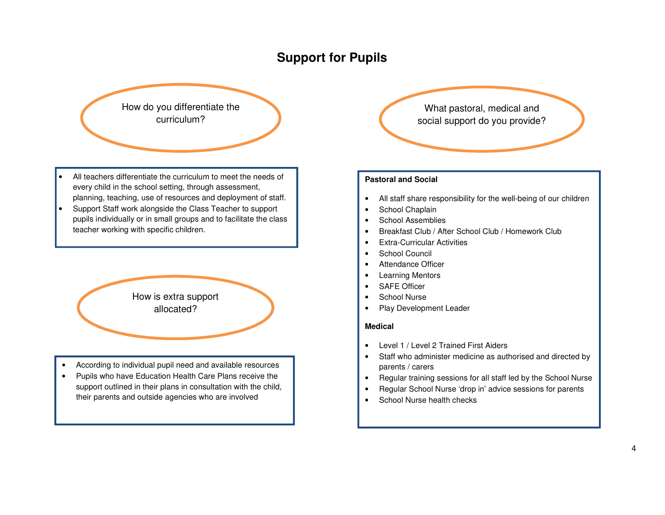# **Support for Pupils**



- All teachers differentiate the curriculum to meet the needs of every child in the school setting, through assessment, planning, teaching, use of resources and deployment of staff.
- Support Staff work alongside the Class Teacher to support pupils individually or in small groups and to facilitate the class teacher working with specific children.

How is extra support allocated?

- According to individual pupil need and available resources
- Pupils who have Education Health Care Plans receive the support outlined in their plans in consultation with the child, their parents and outside agencies who are involved

What pastoral, medical and social support do you provide?

#### **Pastoral and Social**

- All staff share responsibility for the well-being of our children
- School Chaplain
- School Assemblies
- Breakfast Club / After School Club / Homework Club
- Extra-Curricular Activities
- School Council
- Attendance Officer
- Learning Mentors
- SAFE Officer
- School Nurse
- Play Development Leader

#### **Medical**

- Level 1 / Level 2 Trained First Aiders
- Staff who administer medicine as authorised and directed by parents / carers
- Regular training sessions for all staff led by the School Nurse
- Regular School Nurse 'drop in' advice sessions for parents
- School Nurse health checks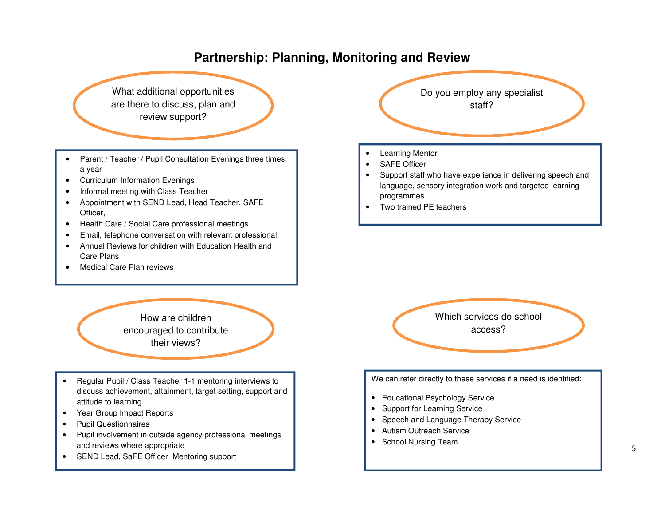# **Partnership: Planning, Monitoring and Review**

What additional opportunities are there to discuss, plan and review support?

- Parent / Teacher / Pupil Consultation Evenings three times a year
- Curriculum Information Evenings
- Informal meeting with Class Teacher
- Appointment with SEND Lead, Head Teacher, SAFE Officer,
- Health Care / Social Care professional meetings
- Email, telephone conversation with relevant professional
- Annual Reviews for children with Education Health and Care Plans
- Medical Care Plan reviews

How are children encouraged to contribute their views?

- Regular Pupil / Class Teacher 1-1 mentoring interviews to discuss achievement, attainment, target setting, support and attitude to learning
- Year Group Impact Reports
- Pupil Questionnaires

,

- Pupil involvement in outside agency professional meetings and reviews where appropriate
- SEND Lead, SaFE Officer Mentoring support



- Learning Mentor
- SAFE Officer
- Support staff who have experience in delivering speech and language, sensory integration work and targeted learning programmes
- Two trained PE teachers



We can refer directly to these services if a need is identified:

- Educational Psychology Service
- Support for Learning Service
- Speech and Language Therapy Service
- Autism Outreach Service
- School Nursing Team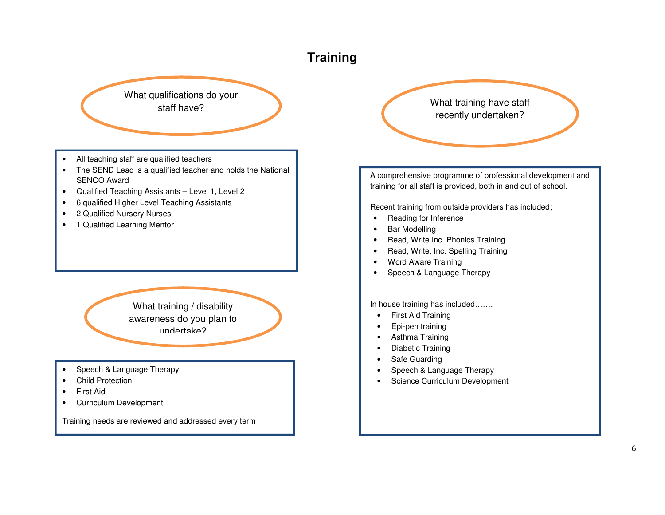# **Training**

What qualifications do your

- All teaching staff are qualified teachers
- The SEND Lead is a qualified teacher and holds the National SENCO Award
- Qualified Teaching Assistants Level 1, Level 2
- 6 qualified Higher Level Teaching Assistants
- 2 Qualified Nursery Nurses
- 1 Qualified Learning Mentor

What training / disability awareness do you plan to undertake?

- Speech & Language Therapy
- Child Protection
- First Aid
- Curriculum Development

Training needs are reviewed and addressed every term

staff have?<br>
Staff have? recently undertaken?

> A comprehensive programme of professional development and training for all staff is provided, both in and out of school.

Recent training from outside providers has included;

- Reading for Inference
- Bar Modelling
- Read, Write Inc. Phonics Training
- Read, Write, Inc. Spelling Training
- Word Aware Training
- Speech & Language Therapy

In house training has included…….

- First Aid Training
- Epi-pen training
- Asthma Training
- Diabetic Training
- Safe Guarding
- Speech & Language Therapy
- Science Curriculum Development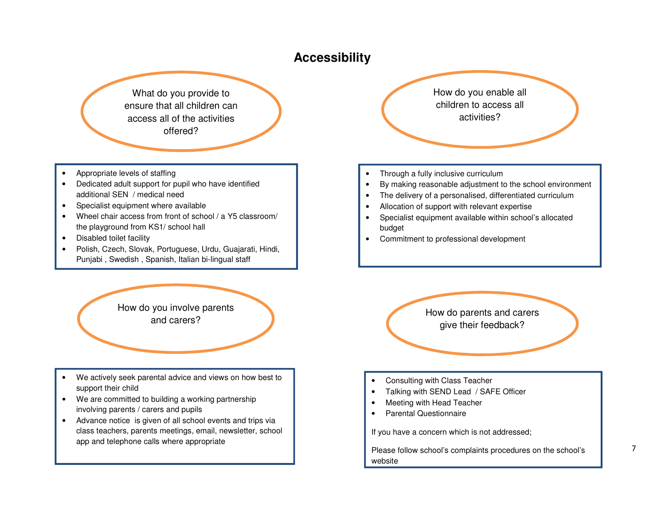## **Accessibility**

What do you provide to ensure that all children can access all of the activities offered?

- Appropriate levels of staffing
- Dedicated adult support for pupil who have identified additional SEN / medical need
- Specialist equipment where available
- Wheel chair access from front of school / a Y5 classroom/ the playground from KS1/ school hall
- Disabled toilet facility
- Polish, Czech, Slovak, Portuguese, Urdu, Guajarati, Hindi, Punjabi , Swedish , Spanish, Italian bi-lingual staff

How do you involve parents and carers?

- We actively seek parental advice and views on how best to support their child
- We are committed to building a working partnershipinvolving parents / carers and pupils
- Advance notice is given of all school events and trips via class teachers, parents meetings, email, newsletter, school app and telephone calls where appropriate

How do you enable all children to access all activities?

- Through a fully inclusive curriculum
- By making reasonable adjustment to the school environment
- The delivery of a personalised, differentiated curriculum
- Allocation of support with relevant expertise
- Specialist equipment available within school's allocated budget
- Commitment to professional development

How do parents and carers give their feedback?

- Consulting with Class Teacher
- Talking with SEND Lead / SAFE Officer
- Meeting with Head Teacher
- Parental Questionnaire

If you have a concern which is not addressed;

Please follow school's complaints procedures on the school's website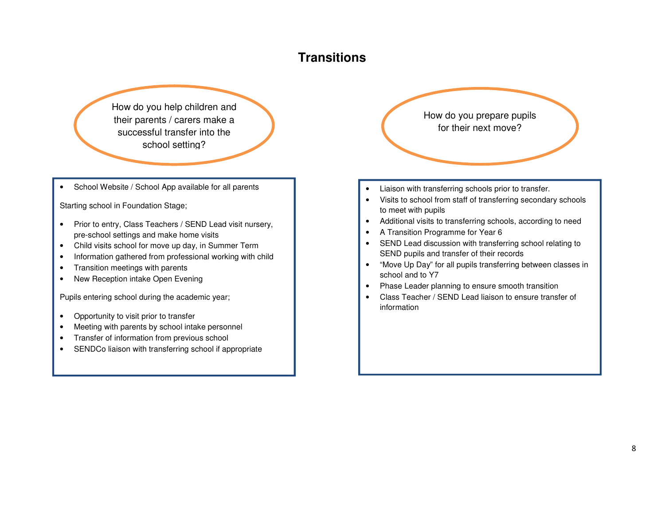# **Transitions**

How do you help children and their parents / carers make a successful transfer into the school setting?

School Website / School App available for all parents

Starting school in Foundation Stage;

- Prior to entry, Class Teachers / SEND Lead visit nursery, pre-school settings and make home visits
- Child visits school for move up day, in Summer Term
- Information gathered from professional working with child
- Transition meetings with parents
- New Reception intake Open Evening

Pupils entering school during the academic year;

- Opportunity to visit prior to transfer
- Meeting with parents by school intake personnel
- Transfer of information from previous school
- SENDCo liaison with transferring school if appropriate

How do you prepare pupils for their next move?

- Liaison with transferring schools prior to transfer.
- Visits to school from staff of transferring secondary schools to meet with pupils
- Additional visits to transferring schools, according to need
- A Transition Programme for Year 6
- SEND Lead discussion with transferring school relating to SEND pupils and transfer of their records
- "Move Up Day" for all pupils transferring between classes in school and to Y7
- Phase Leader planning to ensure smooth transition
- Class Teacher / SEND Lead liaison to ensure transfer of information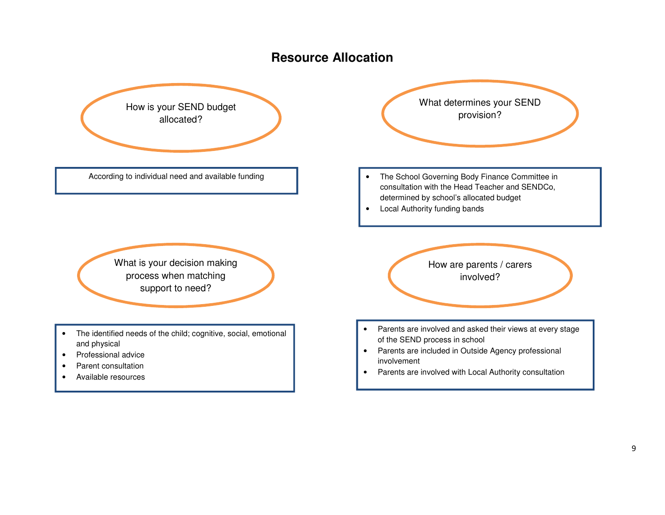## **Resource Allocation**